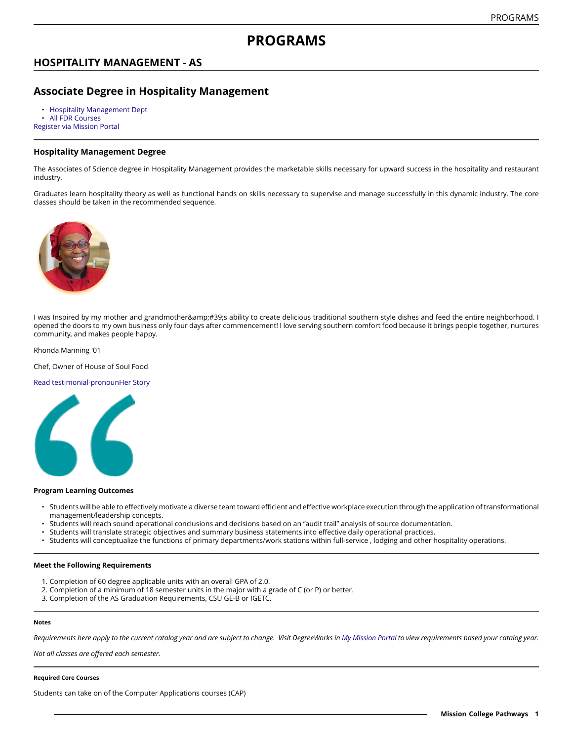# **PROGRAMS**

## **HOSPITALITY MANAGEMENT - AS**

## **Associate Degree in Hospitality Management**

• [Hospitality Management Dept](https://missioncollege.edu/depts/hospitality-management/)

[All FDR Courses](http://majors.missioncollege.edu/current/courses/fdr.html)

[Register via Mission Portal](https://web.wvm.edu/)

### **Hospitality Management Degree**

The Associates of Science degree in Hospitality Management provides the marketable skills necessary for upward success in the hospitality and restaurant industry.

Graduates learn hospitality theory as well as functional hands on skills necessary to supervise and manage successfully in this dynamic industry. The core classes should be taken in the recommended sequence.



I was Inspired by my mother and grandmother's ability to create delicious traditional southern style dishes and feed the entire neighborhood. I opened the doors to my own business only four days after commencement! I love serving southern comfort food because it brings people together, nurtures community, and makes people happy.

#### Rhonda Manning '01

Chef, Owner of House of Soul Food

#### Read testimonial-pronounHer Story



#### **Program Learning Outcomes**

- Students will be able to effectively motivate a diverse team toward efficient and effective workplace execution through the application of transformational management/leadership concepts.
- Students will reach sound operational conclusions and decisions based on an "audit trail" analysis of source documentation.
- Students will translate strategic objectives and summary business statements into effective daily operational practices.
- Students will conceptualize the functions of primary departments/work stations within full-service , lodging and other hospitality operations.

#### **Meet the Following Requirements**

- 1. Completion of 60 degree applicable units with an overall GPA of 2.0.
- 2. Completion of a minimum of 18 semester units in the major with a grade of C (or P) or better.
- 3. Completion of the AS Graduation Requirements, CSU GE-B or IGETC.

#### **Notes**

Requirements here apply to the current catalog year and are subject to change. Visit DegreeWorks in [My Mission Portal](https://web.wvm.edu/#/) to view requirements based your catalog year.

*Not all classes are offered each semester.*

#### **Required Core Courses**

Students can take on of the Computer Applications courses (CAP)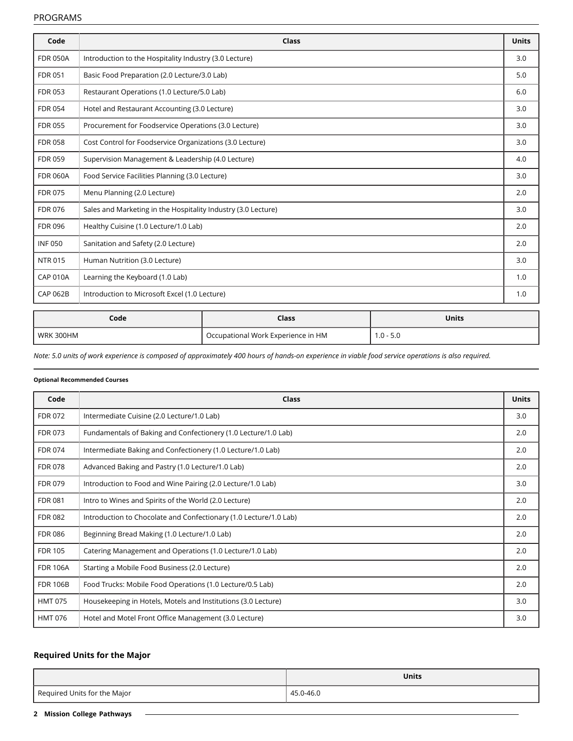### PROGRAMS

| Code            | Class                                                         | <b>Units</b> |
|-----------------|---------------------------------------------------------------|--------------|
| <b>FDR 050A</b> | Introduction to the Hospitality Industry (3.0 Lecture)        | 3.0          |
| <b>FDR 051</b>  | Basic Food Preparation (2.0 Lecture/3.0 Lab)                  | 5.0          |
| <b>FDR 053</b>  | Restaurant Operations (1.0 Lecture/5.0 Lab)                   | 6.0          |
| <b>FDR 054</b>  | Hotel and Restaurant Accounting (3.0 Lecture)                 | 3.0          |
| <b>FDR 055</b>  | Procurement for Foodservice Operations (3.0 Lecture)          | 3.0          |
| <b>FDR 058</b>  | Cost Control for Foodservice Organizations (3.0 Lecture)      | 3.0          |
| <b>FDR 059</b>  | Supervision Management & Leadership (4.0 Lecture)             | 4.0          |
| <b>FDR 060A</b> | Food Service Facilities Planning (3.0 Lecture)                | 3.0          |
| <b>FDR 075</b>  | Menu Planning (2.0 Lecture)                                   | 2.0          |
| <b>FDR 076</b>  | Sales and Marketing in the Hospitality Industry (3.0 Lecture) | 3.0          |
| <b>FDR 096</b>  | Healthy Cuisine (1.0 Lecture/1.0 Lab)                         | 2.0          |
| <b>INF050</b>   | Sanitation and Safety (2.0 Lecture)                           | 2.0          |
| <b>NTR 015</b>  | Human Nutrition (3.0 Lecture)                                 | 3.0          |
| <b>CAP 010A</b> | Learning the Keyboard (1.0 Lab)                               | 1.0          |
| <b>CAP 062B</b> | Introduction to Microsoft Excel (1.0 Lecture)                 | 1.0          |
|                 |                                                               |              |

| Code      | Class                              | Units     |
|-----------|------------------------------------|-----------|
| WRK 300HM | Occupational Work Experience in HM | 1.0 - 5.0 |

Note: 5.0 units of work experience is composed of approximately 400 hours of hands-on experience in viable food service operations is also required.

### **Optional Recommended Courses**

| Code            | Class                                                             | <b>Units</b> |
|-----------------|-------------------------------------------------------------------|--------------|
| <b>FDR 072</b>  | Intermediate Cuisine (2.0 Lecture/1.0 Lab)                        | 3.0          |
| <b>FDR 073</b>  | Fundamentals of Baking and Confectionery (1.0 Lecture/1.0 Lab)    | 2.0          |
| <b>FDR 074</b>  | Intermediate Baking and Confectionery (1.0 Lecture/1.0 Lab)       | 2.0          |
| <b>FDR 078</b>  | Advanced Baking and Pastry (1.0 Lecture/1.0 Lab)                  | 2.0          |
| <b>FDR 079</b>  | Introduction to Food and Wine Pairing (2.0 Lecture/1.0 Lab)       | 3.0          |
| <b>FDR 081</b>  | Intro to Wines and Spirits of the World (2.0 Lecture)             | 2.0          |
| <b>FDR 082</b>  | Introduction to Chocolate and Confectionary (1.0 Lecture/1.0 Lab) | 2.0          |
| <b>FDR 086</b>  | Beginning Bread Making (1.0 Lecture/1.0 Lab)                      | 2.0          |
| <b>FDR 105</b>  | Catering Management and Operations (1.0 Lecture/1.0 Lab)          | 2.0          |
| <b>FDR 106A</b> | Starting a Mobile Food Business (2.0 Lecture)                     | 2.0          |
| <b>FDR 106B</b> | Food Trucks: Mobile Food Operations (1.0 Lecture/0.5 Lab)         | 2.0          |
| <b>HMT 075</b>  | Housekeeping in Hotels, Motels and Institutions (3.0 Lecture)     | 3.0          |
| <b>HMT 076</b>  | Hotel and Motel Front Office Management (3.0 Lecture)             | 3.0          |

## **Required Units for the Major**

|                              | <b>Units</b> |
|------------------------------|--------------|
| Required Units for the Major | 45.0-46.0    |

**2 Mission College Pathways**